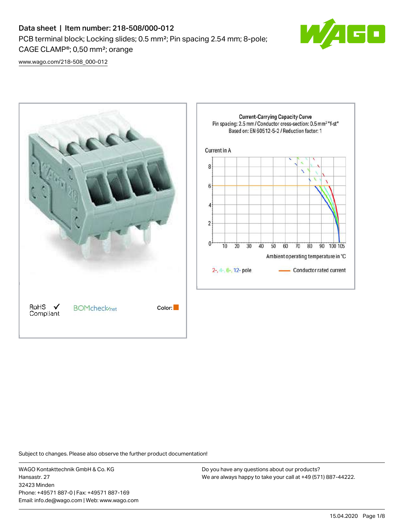# Data sheet | Item number: 218-508/000-012 PCB terminal block; Locking slides; 0.5 mm²; Pin spacing 2.54 mm; 8-pole; CAGE CLAMP®; 0,50 mm²; orange



[www.wago.com/218-508\\_000-012](http://www.wago.com/218-508_000-012)



Subject to changes. Please also observe the further product documentation!

WAGO Kontakttechnik GmbH & Co. KG Hansastr. 27 32423 Minden Phone: +49571 887-0 | Fax: +49571 887-169 Email: info.de@wago.com | Web: www.wago.com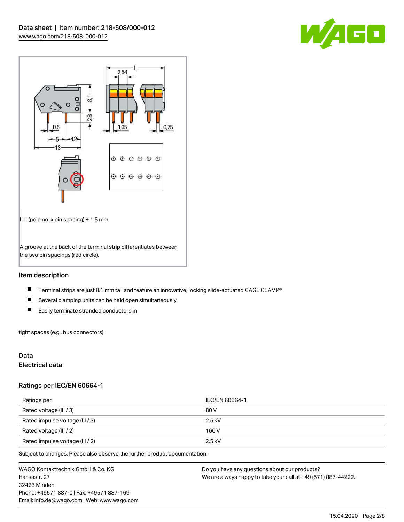



# Item description

- $\blacksquare$ Terminal strips are just 8.1 mm tall and feature an innovative, locking slide-actuated CAGE CLAMP®
- $\blacksquare$ Several clamping units can be held open simultaneously
- $\blacksquare$ Easily terminate stranded conductors in

tight spaces (e.g., bus connectors)

# Data

# Electrical data

### Ratings per IEC/EN 60664-1

| Ratings per                     | IEC/EN 60664-1 |
|---------------------------------|----------------|
| Rated voltage (III / 3)         | 80 V           |
| Rated impulse voltage (III / 3) | $2.5$ kV       |
| Rated voltage (III / 2)         | 160 V          |
| Rated impulse voltage (III / 2) | $2.5$ kV       |

Subject to changes. Please also observe the further product documentation!

WAGO Kontakttechnik GmbH & Co. KG Hansastr. 27 32423 Minden Phone: +49571 887-0 | Fax: +49571 887-169 Email: info.de@wago.com | Web: www.wago.com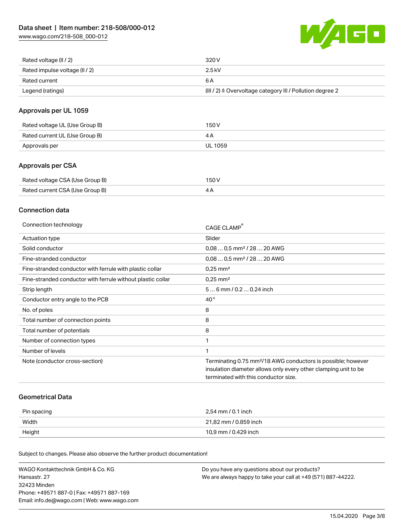[www.wago.com/218-508\\_000-012](http://www.wago.com/218-508_000-012)



| Rated voltage (II / 2)         | 320 V                                                                 |
|--------------------------------|-----------------------------------------------------------------------|
| Rated impulse voltage (II / 2) | 2.5 kV                                                                |
| Rated current                  | 6 A                                                                   |
| Legend (ratings)               | $(III / 2)$ $\triangle$ Overvoltage category III / Pollution degree 2 |

# Approvals per UL 1059

| Rated voltage UL (Use Group B) | 150 V   |
|--------------------------------|---------|
| Rated current UL (Use Group B) |         |
| Approvals per                  | UL 1059 |

# Approvals per CSA

| Rated voltage CSA (Use Group B) | 150 V |
|---------------------------------|-------|
| Rated current CSA (Use Group B) |       |

# Connection data

| Connection technology                                       | CAGE CLAMP                                                               |
|-------------------------------------------------------------|--------------------------------------------------------------------------|
| Actuation type                                              | Slider                                                                   |
| Solid conductor                                             | $0.080.5$ mm <sup>2</sup> / 28  20 AWG                                   |
| Fine-stranded conductor                                     | $0,080,5$ mm <sup>2</sup> / 28  20 AWG                                   |
| Fine-stranded conductor with ferrule with plastic collar    | $0.25$ mm <sup>2</sup>                                                   |
| Fine-stranded conductor with ferrule without plastic collar | $0.25$ mm <sup>2</sup>                                                   |
| Strip length                                                | 56 mm / 0.2 0.24 inch                                                    |
| Conductor entry angle to the PCB                            | $40^{\circ}$                                                             |
| No. of poles                                                | 8                                                                        |
| Total number of connection points                           | 8                                                                        |
| Total number of potentials                                  | 8                                                                        |
| Number of connection types                                  |                                                                          |
| Number of levels                                            |                                                                          |
| Note (conductor cross-section)                              | Terminating 0.75 mm <sup>2</sup> /18 AWG conductors is possible; however |
|                                                             | insulation diameter allows only every other clamping unit to be          |
|                                                             | terminated with this conductor size.                                     |

# Geometrical Data

| Pin spacing | 2.54 mm / 0.1 inch    |
|-------------|-----------------------|
| Width       | 21,82 mm / 0.859 inch |
| Height      | 10,9 mm / 0.429 inch  |

Subject to changes. Please also observe the further product documentation!

| WAGO Kontakttechnik GmbH & Co. KG           | Do you have any questions about our products?                 |
|---------------------------------------------|---------------------------------------------------------------|
| Hansastr. 27                                | We are always happy to take your call at +49 (571) 887-44222. |
| 32423 Minden                                |                                                               |
| Phone: +49571 887-01 Fax: +49571 887-169    |                                                               |
| Email: info.de@wago.com   Web: www.wago.com |                                                               |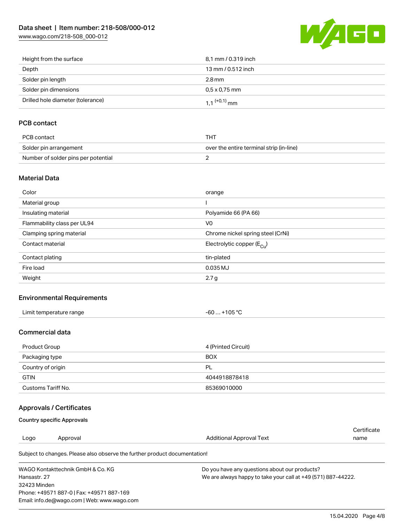[www.wago.com/218-508\\_000-012](http://www.wago.com/218-508_000-012)



| Height from the surface           | 8.1 mm / 0.319 inch        |
|-----------------------------------|----------------------------|
| Depth                             | 13 mm / 0.512 inch         |
| Solder pin length                 | 2.8 mm                     |
| Solder pin dimensions             | $0.5 \times 0.75$ mm       |
| Drilled hole diameter (tolerance) | $1.1$ <sup>(+0,1)</sup> mm |

# PCB contact

| PCB contact                         | тнт                                      |
|-------------------------------------|------------------------------------------|
| Solder pin arrangement              | over the entire terminal strip (in-line) |
| Number of solder pins per potential |                                          |

# Material Data

| Color                       | orange                                 |
|-----------------------------|----------------------------------------|
| Material group              |                                        |
| Insulating material         | Polyamide 66 (PA 66)                   |
| Flammability class per UL94 | V <sub>0</sub>                         |
| Clamping spring material    | Chrome nickel spring steel (CrNi)      |
| Contact material            | Electrolytic copper (E <sub>Cu</sub> ) |
| Contact plating             | tin-plated                             |
| Fire load                   | 0.035 MJ                               |
| Weight                      | 2.7 g                                  |

# Environmental Requirements

| Limit temperature range<br>. | +105 °C<br>-60 |
|------------------------------|----------------|
|------------------------------|----------------|

# Commercial data

| Product Group      | 4 (Printed Circuit) |
|--------------------|---------------------|
| Packaging type     | <b>BOX</b>          |
| Country of origin  | PL                  |
| <b>GTIN</b>        | 4044918878418       |
| Customs Tariff No. | 85369010000         |

# Approvals / Certificates

# Country specific Approvals

Email: info.de@wago.com | Web: www.wago.com

|              |                                                                            |                                                               | Certificate |
|--------------|----------------------------------------------------------------------------|---------------------------------------------------------------|-------------|
| Logo         | Approval                                                                   | Additional Approval Text                                      | name        |
|              | Subject to changes. Please also observe the further product documentation! |                                                               |             |
|              | WAGO Kontakttechnik GmbH & Co. KG                                          | Do you have any questions about our products?                 |             |
| Hansastr, 27 |                                                                            | We are always happy to take your call at +49 (571) 887-44222. |             |
| 32423 Minden |                                                                            |                                                               |             |
|              | Phone: +49571 887-0   Fax: +49571 887-169                                  |                                                               |             |

15.04.2020 Page 4/8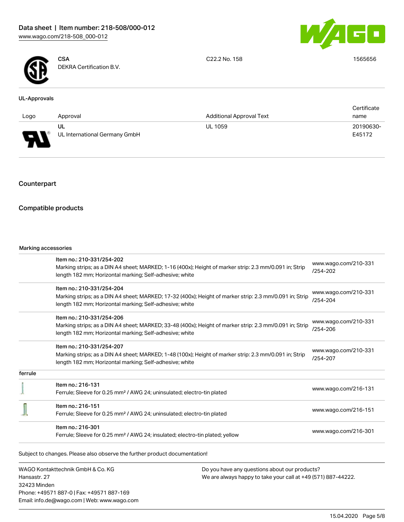



**CSA** DEKRA Certification B.V. C22.2 No. 158 1565656

### UL-Approvals

|                                    |                               |                                 | Certificate |
|------------------------------------|-------------------------------|---------------------------------|-------------|
| Logo                               | Approval                      | <b>Additional Approval Text</b> | name        |
|                                    | UL                            | <b>UL 1059</b>                  | 20190630-   |
| $\Box$<br>$\overline{\phantom{a}}$ | UL International Germany GmbH |                                 | E45172      |

# Counterpart

# Compatible products

### Marking accessories

Phone: +49571 887-0 | Fax: +49571 887-169 Email: info.de@wago.com | Web: www.wago.com

|                                   | Item no.: 210-331/254-202<br>Marking strips; as a DIN A4 sheet; MARKED; 1-16 (400x); Height of marker strip: 2.3 mm/0.091 in; Strip                                |                                                               | www.wago.com/210-331             |  |
|-----------------------------------|--------------------------------------------------------------------------------------------------------------------------------------------------------------------|---------------------------------------------------------------|----------------------------------|--|
|                                   | length 182 mm; Horizontal marking; Self-adhesive; white                                                                                                            |                                                               | $/254 - 202$                     |  |
|                                   | Item no.: 210-331/254-204                                                                                                                                          |                                                               | www.wago.com/210-331             |  |
|                                   | Marking strips; as a DIN A4 sheet; MARKED; 17-32 (400x); Height of marker strip: 2.3 mm/0.091 in; Strip<br>length 182 mm; Horizontal marking; Self-adhesive; white |                                                               | /254-204                         |  |
|                                   | Item no.: 210-331/254-206                                                                                                                                          |                                                               |                                  |  |
|                                   | Marking strips; as a DIN A4 sheet; MARKED; 33-48 (400x); Height of marker strip: 2.3 mm/0.091 in; Strip<br>length 182 mm; Horizontal marking; Self-adhesive; white |                                                               | www.wago.com/210-331<br>/254-206 |  |
|                                   | Item no.: 210-331/254-207                                                                                                                                          |                                                               | www.wago.com/210-331             |  |
|                                   | Marking strips; as a DIN A4 sheet; MARKED; 1-48 (100x); Height of marker strip: 2.3 mm/0.091 in; Strip<br>length 182 mm; Horizontal marking; Self-adhesive; white  |                                                               | /254-207                         |  |
| ferrule                           |                                                                                                                                                                    |                                                               |                                  |  |
|                                   | Item no.: 216-131                                                                                                                                                  |                                                               | www.wago.com/216-131             |  |
|                                   | Ferrule; Sleeve for 0.25 mm <sup>2</sup> / AWG 24; uninsulated; electro-tin plated                                                                                 |                                                               |                                  |  |
|                                   | Item no.: 216-151                                                                                                                                                  |                                                               |                                  |  |
|                                   | Ferrule; Sleeve for 0.25 mm <sup>2</sup> / AWG 24; uninsulated; electro-tin plated                                                                                 |                                                               | www.wago.com/216-151             |  |
|                                   | Item no.: 216-301                                                                                                                                                  |                                                               |                                  |  |
|                                   | Ferrule; Sleeve for 0.25 mm <sup>2</sup> / AWG 24; insulated; electro-tin plated; yellow                                                                           |                                                               | www.wago.com/216-301             |  |
|                                   | Subject to changes. Please also observe the further product documentation!                                                                                         |                                                               |                                  |  |
| WAGO Kontakttechnik GmbH & Co. KG |                                                                                                                                                                    | Do you have any questions about our products?                 |                                  |  |
| Hansastr, 27                      |                                                                                                                                                                    | We are always happy to take your call at +49 (571) 887-44222. |                                  |  |
| 32423 Minden                      |                                                                                                                                                                    |                                                               |                                  |  |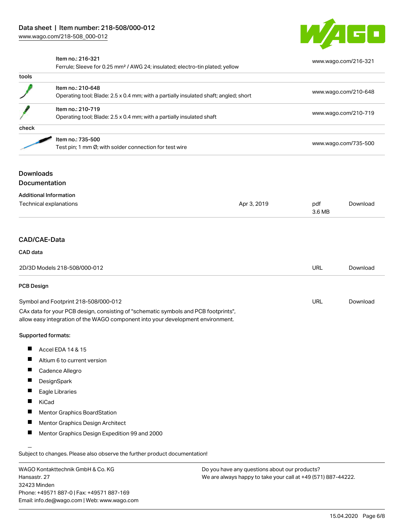

[www.wago.com/216-321](http://www.wago.com/216-321)

### Item no.: 216-321

Ferrule; Sleeve for 0.25 mm² / AWG 24; insulated; electro-tin plated; yellow

| tools            |                                                                                                           |             |                      |          |
|------------------|-----------------------------------------------------------------------------------------------------------|-------------|----------------------|----------|
|                  | Item no.: 210-648<br>Operating tool; Blade: 2.5 x 0.4 mm; with a partially insulated shaft; angled; short |             | www.wago.com/210-648 |          |
|                  |                                                                                                           |             |                      |          |
|                  | Item no.: 210-719                                                                                         |             |                      |          |
|                  | Operating tool; Blade: 2.5 x 0.4 mm; with a partially insulated shaft                                     |             | www.wago.com/210-719 |          |
| check            |                                                                                                           |             |                      |          |
|                  | Item no.: 735-500                                                                                         |             | www.wago.com/735-500 |          |
|                  | Test pin; 1 mm Ø; with solder connection for test wire                                                    |             |                      |          |
| <b>Downloads</b> |                                                                                                           |             |                      |          |
|                  | <b>Documentation</b>                                                                                      |             |                      |          |
|                  | <b>Additional Information</b>                                                                             |             |                      |          |
|                  | Technical explanations                                                                                    | Apr 3, 2019 | pdf                  | Download |
|                  |                                                                                                           |             | 3.6 MB               |          |

#### CAD data

| 2D/3D Models 218-508/000-012         | URL | Download |
|--------------------------------------|-----|----------|
| <b>PCB Design</b>                    |     |          |
| Symbol and Footprint 218-508/000-012 | URL | Download |

CAx data for your PCB design, consisting of "schematic symbols and PCB footprints", allow easy integration of the WAGO component into your development environment.

### Supported formats:

- $\blacksquare$ Accel EDA 14 & 15
- $\blacksquare$ Altium 6 to current version
- $\blacksquare$ Cadence Allegro
- П **DesignSpark**
- П Eagle Libraries
- $\blacksquare$ KiCad
- $\blacksquare$ Mentor Graphics BoardStation
- П Mentor Graphics Design Architect
- П Mentor Graphics Design Expedition 99 and 2000

Subject to changes. Please also observe the further product documentation!

WAGO Kontakttechnik GmbH & Co. KG Hansastr. 27 32423 Minden Phone: +49571 887-0 | Fax: +49571 887-169 Email: info.de@wago.com | Web: www.wago.com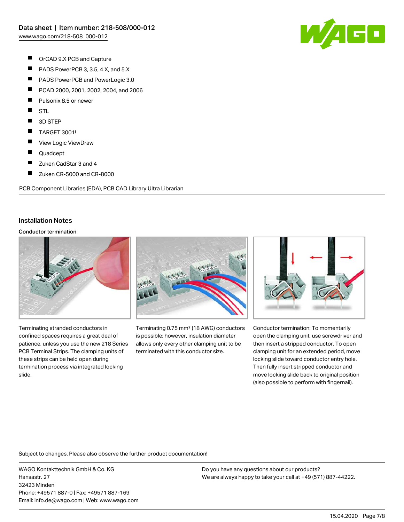

- $\blacksquare$ OrCAD 9.X PCB and Capture
- $\blacksquare$ PADS PowerPCB 3, 3.5, 4.X, and 5.X
- $\blacksquare$ PADS PowerPCB and PowerLogic 3.0
- $\blacksquare$ PCAD 2000, 2001, 2002, 2004, and 2006
- П Pulsonix 8.5 or newer
- П **STL**
- $\blacksquare$ 3D STEP
- $\blacksquare$ TARGET 3001!
- $\blacksquare$ View Logic ViewDraw
- П Quadcept
- $\blacksquare$ Zuken CadStar 3 and 4
- $\blacksquare$ Zuken CR-5000 and CR-8000

PCB Component Libraries (EDA), PCB CAD Library Ultra Librarian

# Installation Notes

### Conductor termination



Terminating stranded conductors in confined spaces requires a great deal of patience, unless you use the new 218 Series PCB Terminal Strips. The clamping units of these strips can be held open during termination process via integrated locking slide.



Terminating 0.75 mm² (18 AWG) conductors is possible; however, insulation diameter allows only every other clamping unit to be terminated with this conductor size.



Conductor termination: To momentarily open the clamping unit, use screwdriver and then insert a stripped conductor. To open clamping unit for an extended period, move locking slide toward conductor entry hole. Then fully insert stripped conductor and move locking slide back to original position (also possible to perform with fingernail).

Subject to changes. Please also observe the further product documentation!

WAGO Kontakttechnik GmbH & Co. KG Hansastr. 27 32423 Minden Phone: +49571 887-0 | Fax: +49571 887-169 Email: info.de@wago.com | Web: www.wago.com